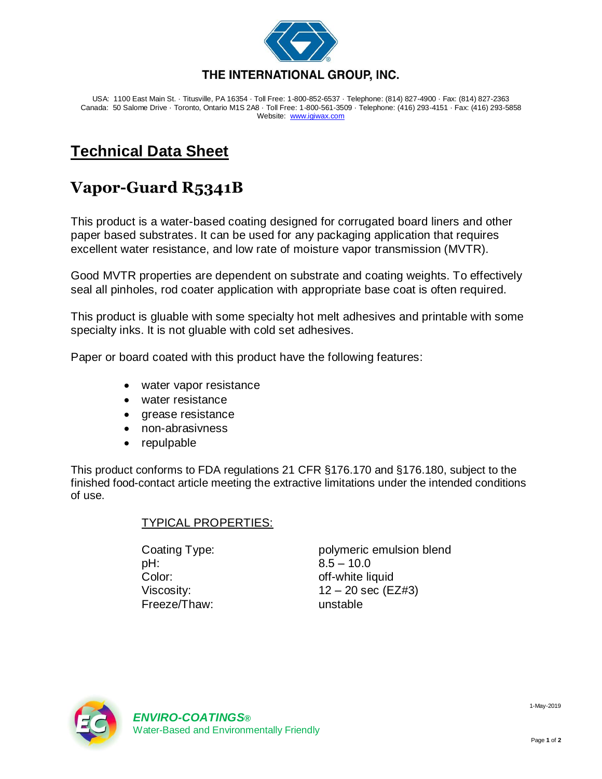

USA: 1100 East Main St. · Titusville, PA 16354 · Toll Free: 1-800-852-6537 · Telephone: (814) 827-4900 · Fax: (814) 827-2363 Canada: 50 Salome Drive · Toronto, Ontario M1S 2A8 · Toll Free: 1-800-561-3509 · Telephone: (416) 293-4151 · Fax: (416) 293-5858 Website: [www.igiwax.com](http://www.igiwax.com/)

## **Technical Data Sheet**

## **Vapor-Guard R5341B**

This product is a water-based coating designed for corrugated board liners and other paper based substrates. It can be used for any packaging application that requires excellent water resistance, and low rate of moisture vapor transmission (MVTR).

Good MVTR properties are dependent on substrate and coating weights. To effectively seal all pinholes, rod coater application with appropriate base coat is often required.

This product is gluable with some specialty hot melt adhesives and printable with some specialty inks. It is not gluable with cold set adhesives.

Paper or board coated with this product have the following features:

- water vapor resistance
- water resistance
- grease resistance
- non-abrasivness
- repulpable

This product conforms to FDA regulations 21 CFR §176.170 and §176.180, subject to the finished food-contact article meeting the extractive limitations under the intended conditions of use.

## TYPICAL PROPERTIES:

pH: 8.5 – 10.0 Color: color: color: color: color: color: color: color: color: color: color: color: color: color: color: color: color: color: color: color: color: color: color: color: color: color: color: color: color: color: color: color Freeze/Thaw: unstable

Coating Type: polymeric emulsion blend Viscosity:  $12 - 20 \text{ sec}$  (EZ#3)